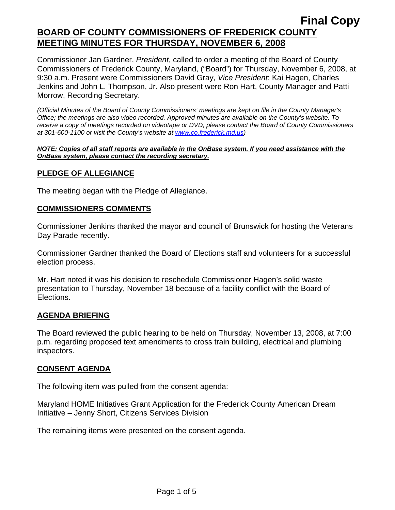Commissioner Jan Gardner, *President*, called to order a meeting of the Board of County Commissioners of Frederick County, Maryland, ("Board") for Thursday, November 6, 2008, at 9:30 a.m. Present were Commissioners David Gray, *Vice President*; Kai Hagen, Charles Jenkins and John L. Thompson, Jr. Also present were Ron Hart, County Manager and Patti Morrow, Recording Secretary.

*(Official Minutes of the Board of County Commissioners' meetings are kept on file in the County Manager's Office; the meetings are also video recorded. Approved minutes are available on the County's website. To receive a copy of meetings recorded on videotape or DVD, please contact the Board of County Commissioners at 301-600-1100 or visit the County's website at [www.co.frederick.md.us\)](http://www.co.frederick.md.us/)* 

#### *NOTE: Copies of all staff reports are available in the OnBase system. If you need assistance with the OnBase system, please contact the recording secretary.*

# **PLEDGE OF ALLEGIANCE**

The meeting began with the Pledge of Allegiance.

#### **COMMISSIONERS COMMENTS**

Commissioner Jenkins thanked the mayor and council of Brunswick for hosting the Veterans Day Parade recently.

Commissioner Gardner thanked the Board of Elections staff and volunteers for a successful election process.

Mr. Hart noted it was his decision to reschedule Commissioner Hagen's solid waste presentation to Thursday, November 18 because of a facility conflict with the Board of Elections.

#### **AGENDA BRIEFING**

The Board reviewed the public hearing to be held on Thursday, November 13, 2008, at 7:00 p.m. regarding proposed text amendments to cross train building, electrical and plumbing inspectors.

#### **CONSENT AGENDA**

The following item was pulled from the consent agenda:

Maryland HOME Initiatives Grant Application for the Frederick County American Dream Initiative – Jenny Short, Citizens Services Division

The remaining items were presented on the consent agenda.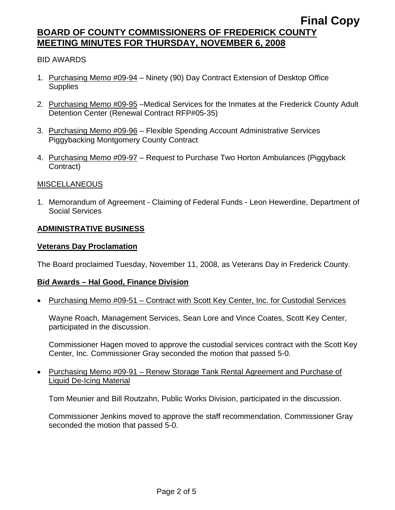# BID AWARDS

- 1. Purchasing Memo #09-94 Ninety (90) Day Contract Extension of Desktop Office **Supplies**
- 2. Purchasing Memo #09-95 –Medical Services for the Inmates at the Frederick County Adult Detention Center (Renewal Contract RFP#05-35)
- 3. Purchasing Memo #09-96 Flexible Spending Account Administrative Services Piggybacking Montgomery County Contract
- 4. Purchasing Memo #09-97 Request to Purchase Two Horton Ambulances (Piggyback Contract)

#### MISCELLANEOUS

1. Memorandum of Agreement - Claiming of Federal Funds - Leon Hewerdine, Department of Social Services

# **ADMINISTRATIVE BUSINESS**

#### **Veterans Day Proclamation**

The Board proclaimed Tuesday, November 11, 2008, as Veterans Day in Frederick County.

#### **Bid Awards – Hal Good, Finance Division**

• Purchasing Memo #09-51 – Contract with Scott Key Center, Inc. for Custodial Services

Wayne Roach, Management Services, Sean Lore and Vince Coates, Scott Key Center, participated in the discussion.

Commissioner Hagen moved to approve the custodial services contract with the Scott Key Center, Inc. Commissioner Gray seconded the motion that passed 5-0.

• Purchasing Memo #09-91 – Renew Storage Tank Rental Agreement and Purchase of Liquid De-Icing Material

Tom Meunier and Bill Routzahn, Public Works Division, participated in the discussion.

Commissioner Jenkins moved to approve the staff recommendation. Commissioner Gray seconded the motion that passed 5-0.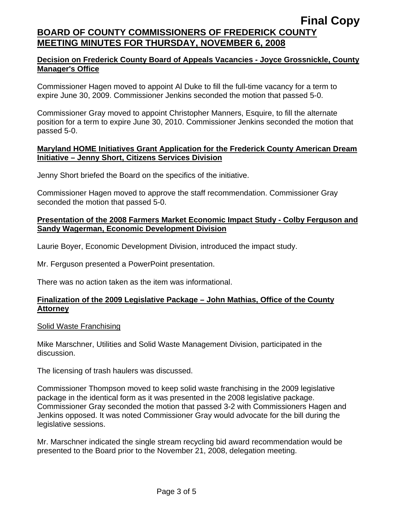### **Decision on Frederick County Board of Appeals Vacancies - Joyce Grossnickle, County Manager's Office**

Commissioner Hagen moved to appoint Al Duke to fill the full-time vacancy for a term to expire June 30, 2009. Commissioner Jenkins seconded the motion that passed 5-0.

Commissioner Gray moved to appoint Christopher Manners, Esquire, to fill the alternate position for a term to expire June 30, 2010. Commissioner Jenkins seconded the motion that passed 5-0.

#### **Maryland HOME Initiatives Grant Application for the Frederick County American Dream Initiative – Jenny Short, Citizens Services Division**

Jenny Short briefed the Board on the specifics of the initiative.

Commissioner Hagen moved to approve the staff recommendation. Commissioner Gray seconded the motion that passed 5-0.

# **Presentation of the 2008 Farmers Market Economic Impact Study - Colby Ferguson and Sandy Wagerman, Economic Development Division**

Laurie Boyer, Economic Development Division, introduced the impact study.

Mr. Ferguson presented a PowerPoint presentation.

There was no action taken as the item was informational.

# **Finalization of the 2009 Legislative Package – John Mathias, Office of the County Attorney**

#### Solid Waste Franchising

Mike Marschner, Utilities and Solid Waste Management Division, participated in the discussion.

The licensing of trash haulers was discussed.

Commissioner Thompson moved to keep solid waste franchising in the 2009 legislative package in the identical form as it was presented in the 2008 legislative package. Commissioner Gray seconded the motion that passed 3-2 with Commissioners Hagen and Jenkins opposed. It was noted Commissioner Gray would advocate for the bill during the legislative sessions.

Mr. Marschner indicated the single stream recycling bid award recommendation would be presented to the Board prior to the November 21, 2008, delegation meeting.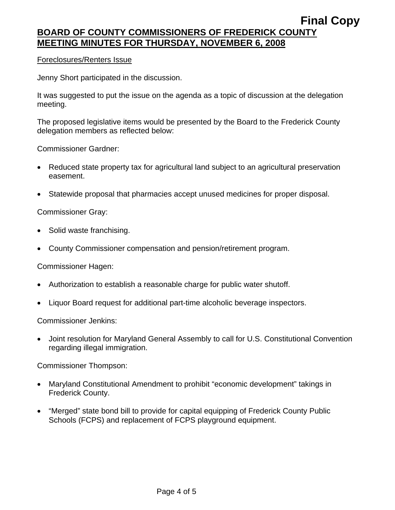#### Foreclosures/Renters Issue

Jenny Short participated in the discussion.

It was suggested to put the issue on the agenda as a topic of discussion at the delegation meeting.

The proposed legislative items would be presented by the Board to the Frederick County delegation members as reflected below:

Commissioner Gardner:

- Reduced state property tax for agricultural land subject to an agricultural preservation easement.
- Statewide proposal that pharmacies accept unused medicines for proper disposal.

Commissioner Gray:

- Solid waste franchising.
- County Commissioner compensation and pension/retirement program.

Commissioner Hagen:

- Authorization to establish a reasonable charge for public water shutoff.
- Liquor Board request for additional part-time alcoholic beverage inspectors.

Commissioner Jenkins:

• Joint resolution for Maryland General Assembly to call for U.S. Constitutional Convention regarding illegal immigration.

Commissioner Thompson:

- Maryland Constitutional Amendment to prohibit "economic development" takings in Frederick County.
- "Merged" state bond bill to provide for capital equipping of Frederick County Public Schools (FCPS) and replacement of FCPS playground equipment.